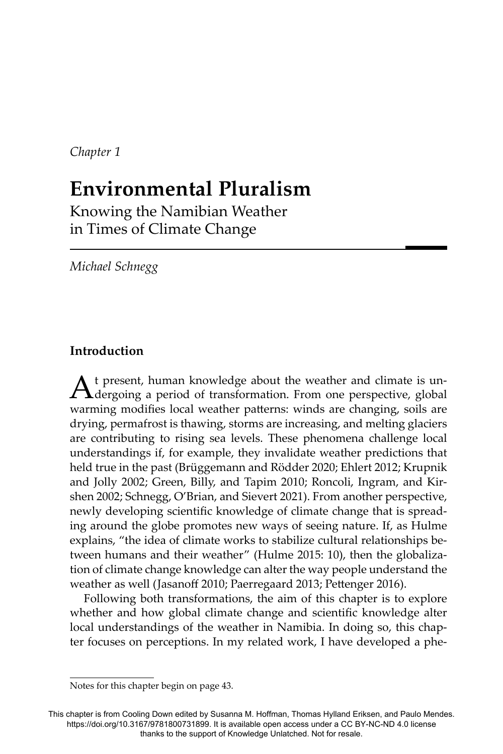*Chapter 1*

# **Environmental Pluralism**

Knowing the Namibian Weather in Times of Climate Change

*Michael Schnegg*

## **Introduction**

A t present, human knowledge about the weather and climate is un-<br>dergoing a period of transformation. From one perspective, global warming modifies local weather patterns: winds are changing, soils are drying, permafrost is thawing, storms are increasing, and melting glaciers are contributing to rising sea levels. These phenomena challenge local understandings if, for example, they invalidate weather predictions that held true in the past (Brüggemann and Rödder 2020; Ehlert 2012; Krupnik and Jolly 2002; Green, Billy, and Tapim 2010; Roncoli, Ingram, and Kirshen 2002; Schnegg, O'Brian, and Sievert 2021). From another perspective, newly developing scientific knowledge of climate change that is spreading around the globe promotes new ways of seeing nature. If, as Hulme explains, "the idea of climate works to stabilize cultural relationships between humans and their weather" (Hulme 2015: 10), then the globalization of climate change knowledge can alter the way people understand the weather as well (Jasanoff 2010; Paerregaard 2013; Pettenger 2016).

Following both transformations, the aim of this chapter is to explore whether and how global climate change and scientific knowledge alter local understandings of the weather in Namibia. In doing so, this chapter focuses on perceptions. In my related work, I have developed a phe-

Notes for this chapter begin on page 43.

This chapter is from Cooling Down edited by Susanna M. Hoffman, Thomas Hylland Eriksen, and Paulo Mendes. https://doi.org/10.3167/9781800731899. It is available open access under a CC BY-NC-ND 4.0 license thanks to the support of Knowledge Unlatched. Not for resale.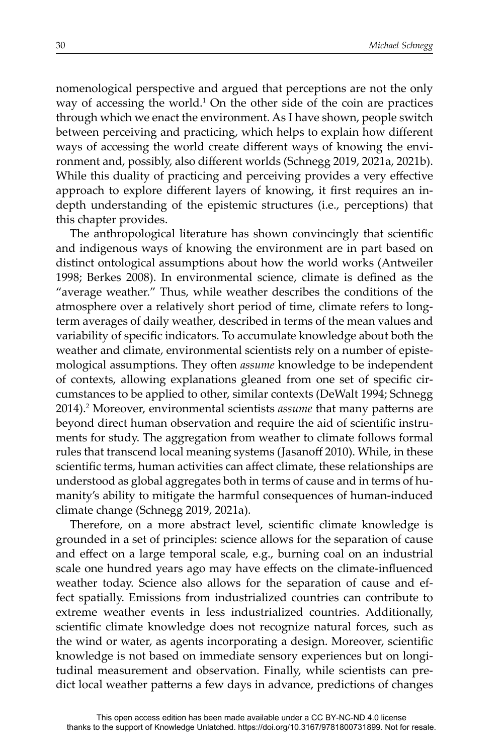nomenological perspective and argued that perceptions are not the only way of accessing the world. $1$  On the other side of the coin are practices through which we enact the environment. As I have shown, people switch between perceiving and practicing, which helps to explain how different ways of accessing the world create different ways of knowing the environment and, possibly, also different worlds (Schnegg 2019, 2021a, 2021b). While this duality of practicing and perceiving provides a very effective approach to explore different layers of knowing, it first requires an indepth understanding of the epistemic structures (i.e., perceptions) that this chapter provides.

The anthropological literature has shown convincingly that scientific and indigenous ways of knowing the environment are in part based on distinct ontological assumptions about how the world works (Antweiler 1998; Berkes 2008). In environmental science, climate is defined as the "average weather." Thus, while weather describes the conditions of the atmosphere over a relatively short period of time, climate refers to longterm averages of daily weather, described in terms of the mean values and variability of specific indicators. To accumulate knowledge about both the weather and climate, environmental scientists rely on a number of epistemological assumptions. They often *assume* knowledge to be independent of contexts, allowing explanations gleaned from one set of specific circumstances to be applied to other, similar contexts (DeWalt 1994; Schnegg 2014).<sup>2</sup> Moreover, environmental scientists *assume* that many patterns are beyond direct human observation and require the aid of scientific instruments for study. The aggregation from weather to climate follows formal rules that transcend local meaning systems (Jasanoff 2010). While, in these scientific terms, human activities can affect climate, these relationships are understood as global aggregates both in terms of cause and in terms of humanity's ability to mitigate the harmful consequences of human-induced climate change (Schnegg 2019, 2021a).

Therefore, on a more abstract level, scientific climate knowledge is grounded in a set of principles: science allows for the separation of cause and effect on a large temporal scale, e.g., burning coal on an industrial scale one hundred years ago may have effects on the climate-influenced weather today. Science also allows for the separation of cause and effect spatially. Emissions from industrialized countries can contribute to extreme weather events in less industrialized countries. Additionally, scientific climate knowledge does not recognize natural forces, such as the wind or water, as agents incorporating a design. Moreover, scientific knowledge is not based on immediate sensory experiences but on longitudinal measurement and observation. Finally, while scientists can predict local weather patterns a few days in advance, predictions of changes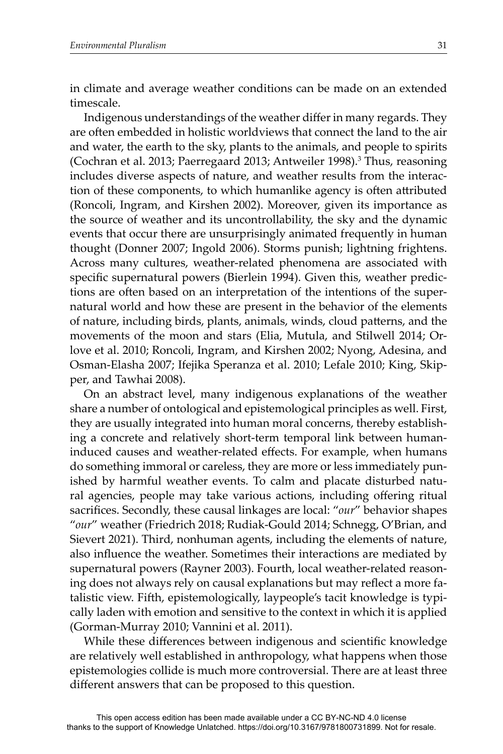in climate and average weather conditions can be made on an extended timescale.

Indigenous understandings of the weather differ in many regards. They are often embedded in holistic worldviews that connect the land to the air and water, the earth to the sky, plants to the animals, and people to spirits (Cochran et al. 2013; Paerregaard 2013; Antweiler 1998).<sup>3</sup> Thus, reasoning includes diverse aspects of nature, and weather results from the interaction of these components, to which humanlike agency is often attributed (Roncoli, Ingram, and Kirshen 2002). Moreover, given its importance as the source of weather and its uncontrollability, the sky and the dynamic events that occur there are unsurprisingly animated frequently in human thought (Donner 2007; Ingold 2006). Storms punish; lightning frightens. Across many cultures, weather-related phenomena are associated with specific supernatural powers (Bierlein 1994). Given this, weather predictions are often based on an interpretation of the intentions of the supernatural world and how these are present in the behavior of the elements of nature, including birds, plants, animals, winds, cloud patterns, and the movements of the moon and stars (Elia, Mutula, and Stilwell 2014; Orlove et al. 2010; Roncoli, Ingram, and Kirshen 2002; Nyong, Adesina, and Osman-Elasha 2007; Ifejika Speranza et al. 2010; Lefale 2010; King, Skipper, and Tawhai 2008).

On an abstract level, many indigenous explanations of the weather share a number of ontological and epistemological principles as well. First, they are usually integrated into human moral concerns, thereby establishing a concrete and relatively short-term temporal link between humaninduced causes and weather-related effects. For example, when humans do something immoral or careless, they are more or less immediately punished by harmful weather events. To calm and placate disturbed natural agencies, people may take various actions, including offering ritual sacrifices. Secondly, these causal linkages are local: "our" behavior shapes "*our*" weather (Friedrich 2018; Rudiak-Gould 2014; Schnegg, O'Brian, and Sievert 2021). Third, nonhuman agents, including the elements of nature, also influence the weather. Sometimes their interactions are mediated by supernatural powers (Rayner 2003). Fourth, local weather-related reasoning does not always rely on causal explanations but may reflect a more fatalistic view. Fifth, epistemologically, laypeople's tacit knowledge is typically laden with emotion and sensitive to the context in which it is applied (Gorman-Murray 2010; Vannini et al. 2011).

While these differences between indigenous and scientific knowledge are relatively well established in anthropology, what happens when those epistemologies collide is much more controversial. There are at least three different answers that can be proposed to this question.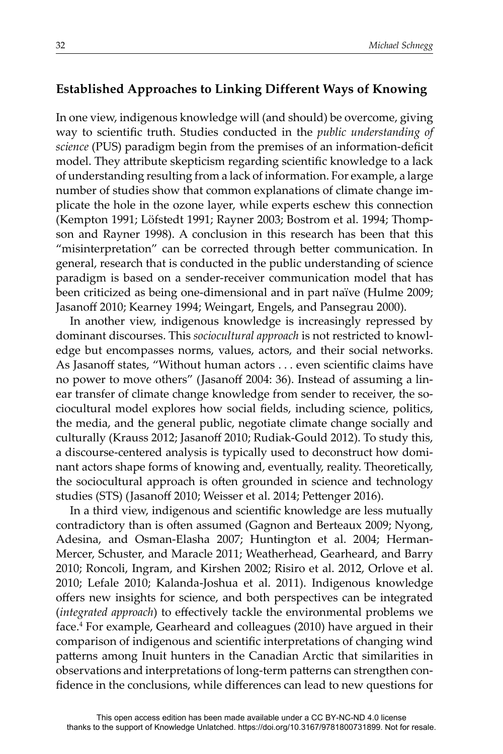## **Established Approaches to Linking Different Ways of Knowing**

In one view, indigenous knowledge will (and should) be overcome, giving way to scientific truth. Studies conducted in the *public understanding of science* (PUS) paradigm begin from the premises of an information-deficit model. They attribute skepticism regarding scientific knowledge to a lack of understanding resulting from a lack of information. For example, a large number of studies show that common explanations of climate change implicate the hole in the ozone layer, while experts eschew this connection (Kempton 1991; Löfstedt 1991; Rayner 2003; Bostrom et al. 1994; Thompson and Rayner 1998). A conclusion in this research has been that this "misinterpretation" can be corrected through better communication. In general, research that is conducted in the public understanding of science paradigm is based on a sender-receiver communication model that has been criticized as being one-dimensional and in part naïve (Hulme 2009; Jasanoff 2010; Kearney 1994; Weingart, Engels, and Pansegrau 2000).

In another view, indigenous knowledge is increasingly repressed by dominant discourses. This *sociocultural approach* is not restricted to knowledge but encompasses norms, values, actors, and their social networks. As Jasanoff states, "Without human actors . . . even scientific claims have no power to move others" (Jasanoff 2004: 36). Instead of assuming a linear transfer of climate change knowledge from sender to receiver, the sociocultural model explores how social fields, including science, politics, the media, and the general public, negotiate climate change socially and culturally (Krauss 2012; Jasanoff 2010; Rudiak-Gould 2012). To study this, a discourse-centered analysis is typically used to deconstruct how dominant actors shape forms of knowing and, eventually, reality. Theoretically, the sociocultural approach is often grounded in science and technology studies (STS) (Jasanoff 2010; Weisser et al. 2014; Pettenger 2016).

In a third view, indigenous and scientific knowledge are less mutually contradictory than is often assumed (Gagnon and Berteaux 2009; Nyong, Adesina, and Osman-Elasha 2007; Huntington et al. 2004; Herman-Mercer, Schuster, and Maracle 2011; Weatherhead, Gearheard, and Barry 2010; Roncoli, Ingram, and Kirshen 2002; Risiro et al. 2012, Orlove et al. 2010; Lefale 2010; Kalanda-Joshua et al. 2011). Indigenous knowledge offers new insights for science, and both perspectives can be integrated (*integrated approach*) to effectively tackle the environmental problems we face.4 For example, Gearheard and colleagues (2010) have argued in their comparison of indigenous and scientific interpretations of changing wind patterns among Inuit hunters in the Canadian Arctic that similarities in observations and interpretations of long-term patterns can strengthen confidence in the conclusions, while differences can lead to new questions for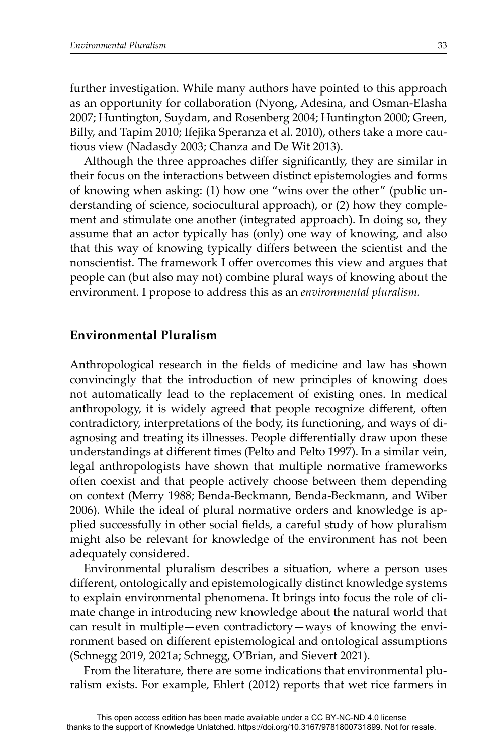further investigation. While many authors have pointed to this approach as an opportunity for collaboration (Nyong, Adesina, and Osman-Elasha 2007; Huntington, Suydam, and Rosenberg 2004; Huntington 2000; Green, Billy, and Tapim 2010; Ifejika Speranza et al. 2010), others take a more cautious view (Nadasdy 2003; Chanza and De Wit 2013).

Although the three approaches differ significantly, they are similar in their focus on the interactions between distinct epistemologies and forms of knowing when asking: (1) how one "wins over the other" (public understanding of science, sociocultural approach), or (2) how they complement and stimulate one another (integrated approach). In doing so, they assume that an actor typically has (only) one way of knowing, and also that this way of knowing typically differs between the scientist and the nonscientist. The framework I offer overcomes this view and argues that people can (but also may not) combine plural ways of knowing about the environment*.* I propose to address this as an *environmental pluralism.*

#### **Environmental Pluralism**

Anthropological research in the fields of medicine and law has shown convincingly that the introduction of new principles of knowing does not automatically lead to the replacement of existing ones. In medical anthropology, it is widely agreed that people recognize different, often contradictory, interpretations of the body, its functioning, and ways of diagnosing and treating its illnesses. People differentially draw upon these understandings at different times (Pelto and Pelto 1997). In a similar vein, legal anthropologists have shown that multiple normative frameworks often coexist and that people actively choose between them depending on context (Merry 1988; Benda-Beckmann, Benda-Beckmann, and Wiber 2006). While the ideal of plural normative orders and knowledge is applied successfully in other social fields, a careful study of how pluralism might also be relevant for knowledge of the environment has not been adequately considered.

Environmental pluralism describes a situation, where a person uses different, ontologically and epistemologically distinct knowledge systems to explain environmental phenomena. It brings into focus the role of climate change in introducing new knowledge about the natural world that can result in multiple—even contradictory—ways of knowing the environment based on different epistemological and ontological assumptions (Schnegg 2019, 2021a; Schnegg, O'Brian, and Sievert 2021).

From the literature, there are some indications that environmental pluralism exists. For example, Ehlert (2012) reports that wet rice farmers in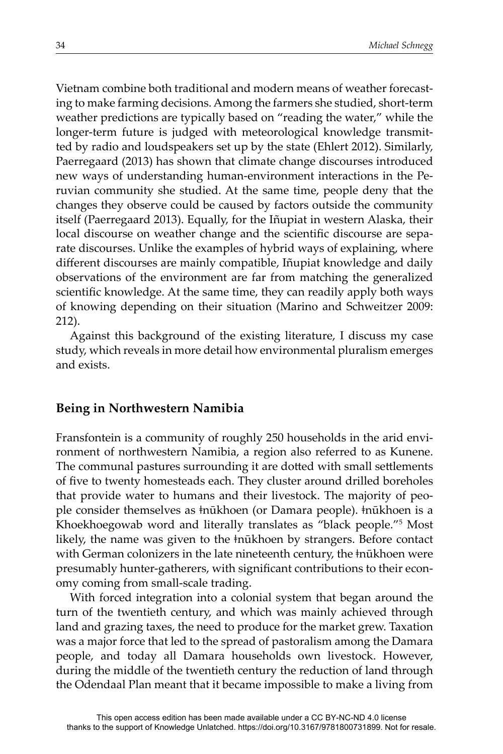Vietnam combine both traditional and modern means of weather forecasting to make farming decisions. Among the farmers she studied, short-term weather predictions are typically based on "reading the water," while the longer-term future is judged with meteorological knowledge transmitted by radio and loudspeakers set up by the state (Ehlert 2012). Similarly, Paerregaard (2013) has shown that climate change discourses introduced new ways of understanding human-environment interactions in the Peruvian community she studied. At the same time, people deny that the changes they observe could be caused by factors outside the community itself (Paerregaard 2013). Equally, for the Iñupiat in western Alaska, their local discourse on weather change and the scientific discourse are separate discourses. Unlike the examples of hybrid ways of explaining, where different discourses are mainly compatible, Iñupiat knowledge and daily observations of the environment are far from matching the generalized scientific knowledge. At the same time, they can readily apply both ways of knowing depending on their situation (Marino and Schweitzer 2009: 212).

Against this background of the existing literature, I discuss my case study, which reveals in more detail how environmental pluralism emerges and exists.

## **Being in Northwestern Namibia**

Fransfontein is a community of roughly 250 households in the arid environment of northwestern Namibia, a region also referred to as Kunene. The communal pastures surrounding it are dotted with small settlements of five to twenty homesteads each. They cluster around drilled boreholes that provide water to humans and their livestock. The majority of people consider themselves as ǂnūkhoen (or Damara people). ǂnūkhoen is a Khoekhoegowab word and literally translates as "black people."5 Most likely, the name was given to the ǂnūkhoen by strangers. Before contact with German colonizers in the late nineteenth century, the  $\frac{1}{n}$  the structure presumably hunter-gatherers, with significant contributions to their economy coming from small-scale trading.

With forced integration into a colonial system that began around the turn of the twentieth century, and which was mainly achieved through land and grazing taxes, the need to produce for the market grew. Taxation was a major force that led to the spread of pastoralism among the Damara people, and today all Damara households own livestock. However, during the middle of the twentieth century the reduction of land through the Odendaal Plan meant that it became impossible to make a living from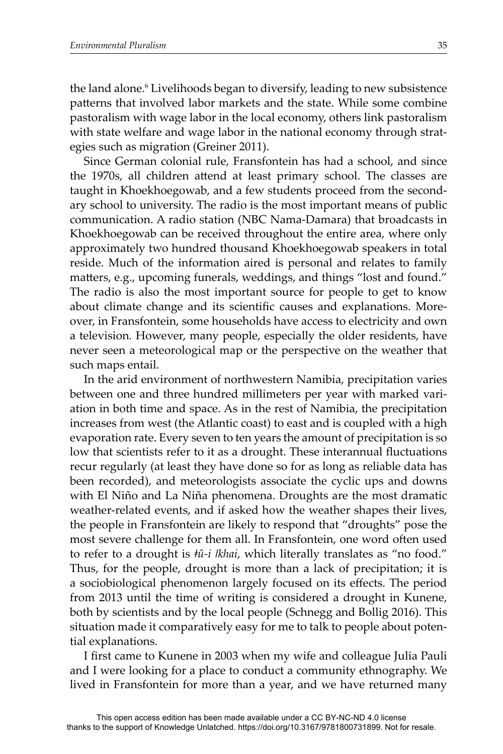the land alone.<sup>6</sup> Livelihoods began to diversify, leading to new subsistence patterns that involved labor markets and the state. While some combine pastoralism with wage labor in the local economy, others link pastoralism with state welfare and wage labor in the national economy through strategies such as migration (Greiner 2011).

Since German colonial rule, Fransfontein has had a school, and since the 1970s, all children attend at least primary school. The classes are taught in Khoekhoegowab, and a few students proceed from the secondary school to university. The radio is the most important means of public communication. A radio station (NBC Nama-Damara) that broadcasts in Khoekhoegowab can be received throughout the entire area, where only approximately two hundred thousand Khoekhoegowab speakers in total reside. Much of the information aired is personal and relates to family matters, e.g., upcoming funerals, weddings, and things "lost and found." The radio is also the most important source for people to get to know about climate change and its scientific causes and explanations. Moreover, in Fransfontein, some households have access to electricity and own a television*.* However, many people, especially the older residents, have never seen a meteorological map or the perspective on the weather that such maps entail.

In the arid environment of northwestern Namibia, precipitation varies between one and three hundred millimeters per year with marked variation in both time and space. As in the rest of Namibia, the precipitation increases from west (the Atlantic coast) to east and is coupled with a high evaporation rate. Every seven to ten years the amount of precipitation is so low that scientists refer to it as a drought. These interannual fluctuations recur regularly (at least they have done so for as long as reliable data has been recorded), and meteorologists associate the cyclic ups and downs with El Niño and La Niña phenomena. Droughts are the most dramatic weather-related events, and if asked how the weather shapes their lives, the people in Fransfontein are likely to respond that "droughts" pose the most severe challenge for them all. In Fransfontein, one word often used to refer to a drought is *ǂû-i ǀkhai*, which literally translates as "no food." Thus, for the people, drought is more than a lack of precipitation; it is a sociobiological phenomenon largely focused on its effects. The period from 2013 until the time of writing is considered a drought in Kunene, both by scientists and by the local people (Schnegg and Bollig 2016). This situation made it comparatively easy for me to talk to people about potential explanations.

I first came to Kunene in 2003 when my wife and colleague Julia Pauli and I were looking for a place to conduct a community ethnography. We lived in Fransfontein for more than a year, and we have returned many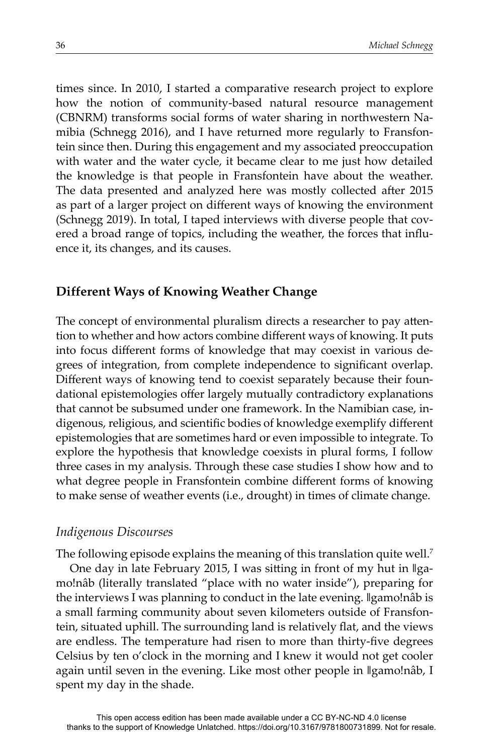times since. In 2010, I started a comparative research project to explore how the notion of community-based natural resource management (CBNRM) transforms social forms of water sharing in northwestern Namibia (Schnegg 2016), and I have returned more regularly to Fransfontein since then. During this engagement and my associated preoccupation with water and the water cycle, it became clear to me just how detailed the knowledge is that people in Fransfontein have about the weather. The data presented and analyzed here was mostly collected after 2015 as part of a larger project on different ways of knowing the environment (Schnegg 2019). In total, I taped interviews with diverse people that covered a broad range of topics, including the weather, the forces that influence it, its changes, and its causes.

## **Different Ways of Knowing Weather Change**

The concept of environmental pluralism directs a researcher to pay attention to whether and how actors combine different ways of knowing. It puts into focus different forms of knowledge that may coexist in various degrees of integration, from complete independence to significant overlap. Different ways of knowing tend to coexist separately because their foundational epistemologies offer largely mutually contradictory explanations that cannot be subsumed under one framework. In the Namibian case, indigenous, religious, and scientific bodies of knowledge exemplify different epistemologies that are sometimes hard or even impossible to integrate. To explore the hypothesis that knowledge coexists in plural forms, I follow three cases in my analysis. Through these case studies I show how and to what degree people in Fransfontein combine different forms of knowing to make sense of weather events (i.e., drought) in times of climate change.

## *Indigenous Discourses*

The following episode explains the meaning of this translation quite well.<sup>7</sup> One day in late February 2015, I was sitting in front of my hut in  $\parallel$ gamo!nâb (literally translated "place with no water inside"), preparing for the interviews I was planning to conduct in the late evening. ǁgamo!nâb is a small farming community about seven kilometers outside of Fransfontein, situated uphill. The surrounding land is relatively flat, and the views are endless. The temperature had risen to more than thirty-five degrees Celsius by ten o'clock in the morning and I knew it would not get cooler again until seven in the evening. Like most other people in ǁgamo!nâb, I spent my day in the shade.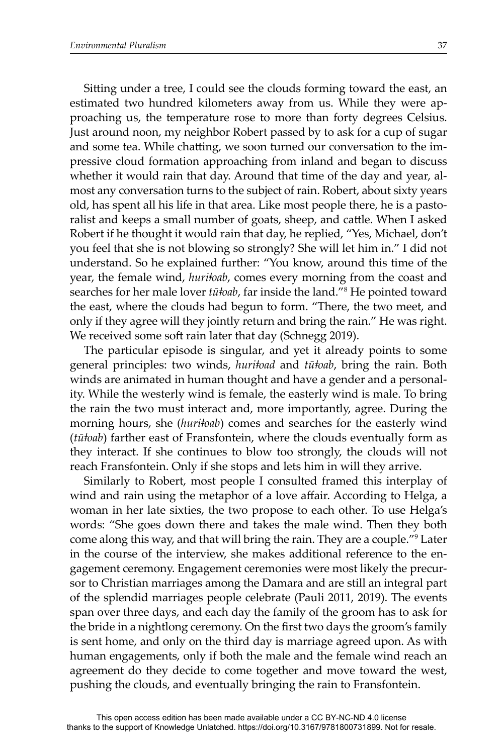Sitting under a tree, I could see the clouds forming toward the east, an estimated two hundred kilometers away from us. While they were approaching us, the temperature rose to more than forty degrees Celsius. Just around noon, my neighbor Robert passed by to ask for a cup of sugar and some tea. While chatting, we soon turned our conversation to the impressive cloud formation approaching from inland and began to discuss whether it would rain that day. Around that time of the day and year, almost any conversation turns to the subject of rain. Robert, about sixty years old, has spent all his life in that area. Like most people there, he is a pastoralist and keeps a small number of goats, sheep, and cattle. When I asked Robert if he thought it would rain that day, he replied, "Yes, Michael, don't you feel that she is not blowing so strongly? She will let him in." I did not understand. So he explained further: "You know, around this time of the year, the female wind, *huriǂoab*, comes every morning from the coast and searches for her male lover *tūǂoab*, far inside the land."8 He pointed toward the east, where the clouds had begun to form. "There, the two meet, and only if they agree will they jointly return and bring the rain." He was right. We received some soft rain later that day (Schnegg 2019).

The particular episode is singular, and yet it already points to some general principles: two winds, *huriǂoad* and *tūǂoab*, bring the rain. Both winds are animated in human thought and have a gender and a personality. While the westerly wind is female, the easterly wind is male. To bring the rain the two must interact and, more importantly, agree. During the morning hours, she (*huri<sup>toab*</sup>) comes and searches for the easterly wind (*tūǂoab*) farther east of Fransfontein, where the clouds eventually form as they interact. If she continues to blow too strongly, the clouds will not reach Fransfontein. Only if she stops and lets him in will they arrive.

Similarly to Robert, most people I consulted framed this interplay of wind and rain using the metaphor of a love affair. According to Helga, a woman in her late sixties, the two propose to each other. To use Helga's words: "She goes down there and takes the male wind. Then they both come along this way, and that will bring the rain. They are a couple."9 Later in the course of the interview, she makes additional reference to the engagement ceremony. Engagement ceremonies were most likely the precursor to Christian marriages among the Damara and are still an integral part of the splendid marriages people celebrate (Pauli 2011, 2019). The events span over three days, and each day the family of the groom has to ask for the bride in a nightlong ceremony. On the first two days the groom's family is sent home, and only on the third day is marriage agreed upon. As with human engagements, only if both the male and the female wind reach an agreement do they decide to come together and move toward the west, pushing the clouds, and eventually bringing the rain to Fransfontein.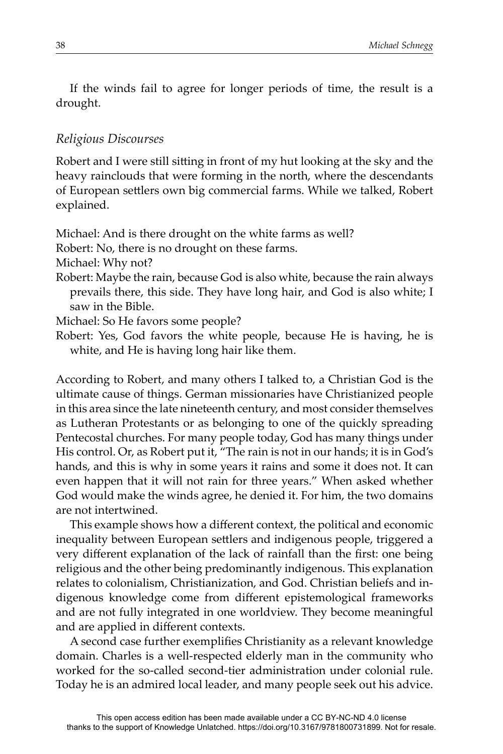If the winds fail to agree for longer periods of time, the result is a drought.

## *Religious Discourses*

Robert and I were still sitting in front of my hut looking at the sky and the heavy rainclouds that were forming in the north, where the descendants of European settlers own big commercial farms. While we talked, Robert explained.

Michael: And is there drought on the white farms as well?

Robert: No, there is no drought on these farms.

Michael: Why not?

Robert: Maybe the rain, because God is also white, because the rain always prevails there, this side. They have long hair, and God is also white; I saw in the Bible.

Michael: So He favors some people?

Robert: Yes, God favors the white people, because He is having, he is white, and He is having long hair like them.

According to Robert, and many others I talked to, a Christian God is the ultimate cause of things. German missionaries have Christianized people in this area since the late nineteenth century, and most consider themselves as Lutheran Protestants or as belonging to one of the quickly spreading Pentecostal churches. For many people today, God has many things under His control. Or, as Robert put it, "The rain is not in our hands; it is in God's hands, and this is why in some years it rains and some it does not. It can even happen that it will not rain for three years." When asked whether God would make the winds agree, he denied it. For him, the two domains are not intertwined.

This example shows how a different context, the political and economic inequality between European settlers and indigenous people, triggered a very different explanation of the lack of rainfall than the first: one being religious and the other being predominantly indigenous. This explanation relates to colonialism, Christianization, and God. Christian beliefs and indigenous knowledge come from different epistemological frameworks and are not fully integrated in one worldview. They become meaningful and are applied in different contexts.

A second case further exemplifies Christianity as a relevant knowledge domain. Charles is a well-respected elderly man in the community who worked for the so-called second-tier administration under colonial rule. Today he is an admired local leader, and many people seek out his advice.

thanks to the support of Knowledge Unlatched. https://doi.org/10.3167/9781800731899. Not for resale.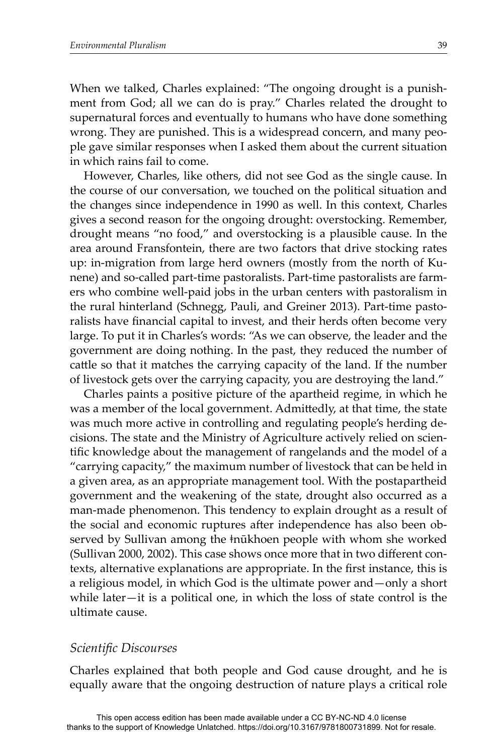When we talked, Charles explained: "The ongoing drought is a punishment from God; all we can do is pray." Charles related the drought to supernatural forces and eventually to humans who have done something wrong. They are punished. This is a widespread concern, and many people gave similar responses when I asked them about the current situation in which rains fail to come.

However, Charles, like others, did not see God as the single cause. In the course of our conversation, we touched on the political situation and the changes since independence in 1990 as well. In this context, Charles gives a second reason for the ongoing drought: overstocking. Remember, drought means "no food," and overstocking is a plausible cause. In the area around Fransfontein, there are two factors that drive stocking rates up: in-migration from large herd owners (mostly from the north of Kunene) and so-called part-time pastoralists. Part-time pastoralists are farmers who combine well-paid jobs in the urban centers with pastoralism in the rural hinterland (Schnegg, Pauli, and Greiner 2013). Part-time pastoralists have financial capital to invest, and their herds often become very large. To put it in Charles's words: "As we can observe, the leader and the government are doing nothing. In the past, they reduced the number of cattle so that it matches the carrying capacity of the land. If the number of livestock gets over the carrying capacity, you are destroying the land."

Charles paints a positive picture of the apartheid regime, in which he was a member of the local government. Admittedly, at that time, the state was much more active in controlling and regulating people's herding decisions. The state and the Ministry of Agriculture actively relied on scientific knowledge about the management of rangelands and the model of a "carrying capacity," the maximum number of livestock that can be held in a given area, as an appropriate management tool. With the postapartheid government and the weakening of the state, drought also occurred as a man-made phenomenon. This tendency to explain drought as a result of the social and economic ruptures after independence has also been observed by Sullivan among the  $\frac{1}{2}$  hūkhoen people with whom she worked (Sullivan 2000, 2002). This case shows once more that in two different contexts, alternative explanations are appropriate. In the first instance, this is a religious model, in which God is the ultimate power and—only a short while later—it is a political one, in which the loss of state control is the ultimate cause.

#### *Scientific Discourses*

Charles explained that both people and God cause drought, and he is equally aware that the ongoing destruction of nature plays a critical role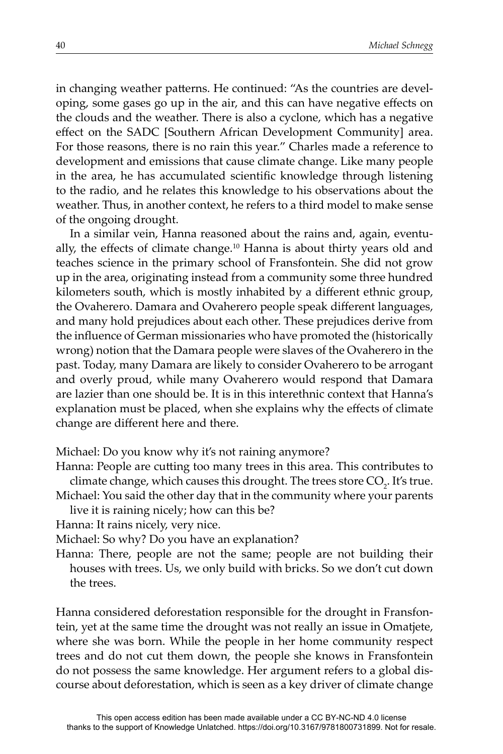in changing weather patterns. He continued: "As the countries are developing, some gases go up in the air, and this can have negative effects on the clouds and the weather. There is also a cyclone, which has a negative effect on the SADC [Southern African Development Community] area. For those reasons, there is no rain this year." Charles made a reference to development and emissions that cause climate change. Like many people in the area, he has accumulated scientific knowledge through listening to the radio, and he relates this knowledge to his observations about the weather. Thus, in another context, he refers to a third model to make sense of the ongoing drought.

In a similar vein, Hanna reasoned about the rains and, again, eventually, the effects of climate change.<sup>10</sup> Hanna is about thirty years old and teaches science in the primary school of Fransfontein. She did not grow up in the area, originating instead from a community some three hundred kilometers south, which is mostly inhabited by a different ethnic group, the Ovaherero. Damara and Ovaherero people speak different languages, and many hold prejudices about each other. These prejudices derive from the influence of German missionaries who have promoted the (historically wrong) notion that the Damara people were slaves of the Ovaherero in the past. Today, many Damara are likely to consider Ovaherero to be arrogant and overly proud, while many Ovaherero would respond that Damara are lazier than one should be. It is in this interethnic context that Hanna's explanation must be placed, when she explains why the effects of climate change are different here and there.

Michael: Do you know why it's not raining anymore?

Hanna: People are cutting too many trees in this area. This contributes to climate change, which causes this drought. The trees store CO<sub>2</sub>. It's true.

Michael: You said the other day that in the community where your parents live it is raining nicely; how can this be?

Hanna: It rains nicely, very nice.

Michael: So why? Do you have an explanation?

Hanna: There, people are not the same; people are not building their houses with trees. Us, we only build with bricks. So we don't cut down the trees.

Hanna considered deforestation responsible for the drought in Fransfontein, yet at the same time the drought was not really an issue in Omatjete, where she was born. While the people in her home community respect trees and do not cut them down, the people she knows in Fransfontein do not possess the same knowledge. Her argument refers to a global discourse about deforestation, which is seen as a key driver of climate change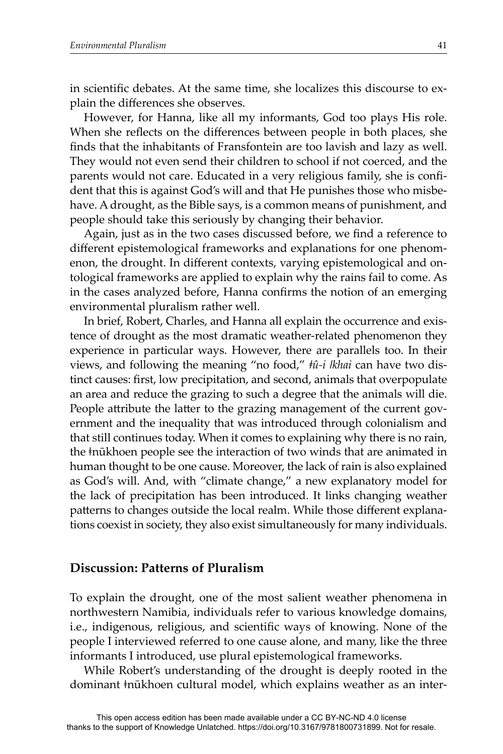in scientific debates. At the same time, she localizes this discourse to explain the differences she observes.

However, for Hanna, like all my informants, God too plays His role. When she reflects on the differences between people in both places, she finds that the inhabitants of Fransfontein are too lavish and lazy as well. They would not even send their children to school if not coerced, and the parents would not care. Educated in a very religious family, she is confident that this is against God's will and that He punishes those who misbehave. A drought, as the Bible says, is a common means of punishment, and people should take this seriously by changing their behavior.

Again, just as in the two cases discussed before, we find a reference to different epistemological frameworks and explanations for one phenomenon, the drought. In different contexts, varying epistemological and ontological frameworks are applied to explain why the rains fail to come. As in the cases analyzed before, Hanna confirms the notion of an emerging environmental pluralism rather well.

In brief, Robert, Charles, and Hanna all explain the occurrence and existence of drought as the most dramatic weather-related phenomenon they experience in particular ways. However, there are parallels too. In their views, and following the meaning "no food," *ǂû-i ǀkhai* can have two distinct causes: first, low precipitation, and second, animals that overpopulate an area and reduce the grazing to such a degree that the animals will die. People attribute the latter to the grazing management of the current government and the inequality that was introduced through colonialism and that still continues today. When it comes to explaining why there is no rain, the ǂnūkhoen people see the interaction of two winds that are animated in human thought to be one cause. Moreover, the lack of rain is also explained as God's will. And, with "climate change," a new explanatory model for the lack of precipitation has been introduced. It links changing weather patterns to changes outside the local realm. While those different explanations coexist in society, they also exist simultaneously for many individuals.

## **Discussion: Patterns of Pluralism**

To explain the drought, one of the most salient weather phenomena in northwestern Namibia, individuals refer to various knowledge domains, i.e., indigenous, religious, and scientific ways of knowing. None of the people I interviewed referred to one cause alone, and many, like the three informants I introduced, use plural epistemological frameworks.

While Robert's understanding of the drought is deeply rooted in the dominant ǂnūkhoen cultural model, which explains weather as an inter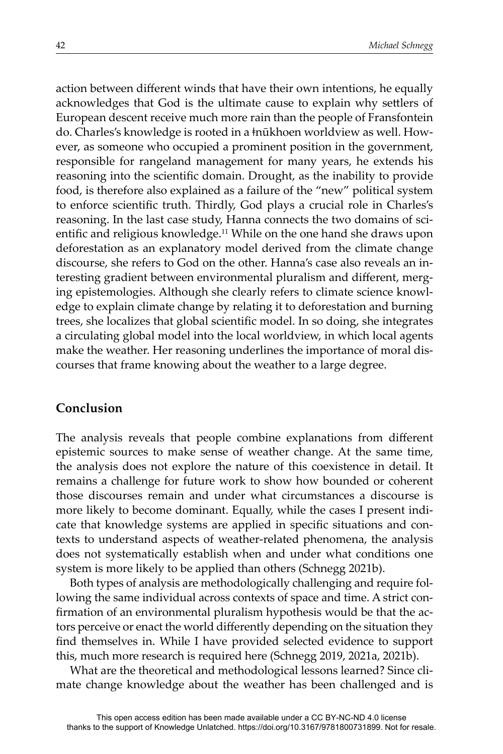action between different winds that have their own intentions, he equally acknowledges that God is the ultimate cause to explain why settlers of European descent receive much more rain than the people of Fransfontein do. Charles's knowledge is rooted in a ǂnūkhoen worldview as well. However, as someone who occupied a prominent position in the government, responsible for rangeland management for many years, he extends his reasoning into the scientific domain. Drought, as the inability to provide food, is therefore also explained as a failure of the "new" political system to enforce scientific truth. Thirdly, God plays a crucial role in Charles's reasoning. In the last case study, Hanna connects the two domains of scientific and religious knowledge.<sup>11</sup> While on the one hand she draws upon deforestation as an explanatory model derived from the climate change discourse, she refers to God on the other. Hanna's case also reveals an interesting gradient between environmental pluralism and different, merging epistemologies. Although she clearly refers to climate science knowledge to explain climate change by relating it to deforestation and burning trees, she localizes that global scientific model. In so doing, she integrates a circulating global model into the local worldview, in which local agents make the weather. Her reasoning underlines the importance of moral discourses that frame knowing about the weather to a large degree.

## **Conclusion**

The analysis reveals that people combine explanations from different epistemic sources to make sense of weather change. At the same time, the analysis does not explore the nature of this coexistence in detail. It remains a challenge for future work to show how bounded or coherent those discourses remain and under what circumstances a discourse is more likely to become dominant. Equally, while the cases I present indicate that knowledge systems are applied in specific situations and contexts to understand aspects of weather-related phenomena, the analysis does not systematically establish when and under what conditions one system is more likely to be applied than others (Schnegg 2021b).

Both types of analysis are methodologically challenging and require following the same individual across contexts of space and time. A strict confirmation of an environmental pluralism hypothesis would be that the actors perceive or enact the world differently depending on the situation they find themselves in. While I have provided selected evidence to support this, much more research is required here (Schnegg 2019, 2021a, 2021b).

What are the theoretical and methodological lessons learned? Since climate change knowledge about the weather has been challenged and is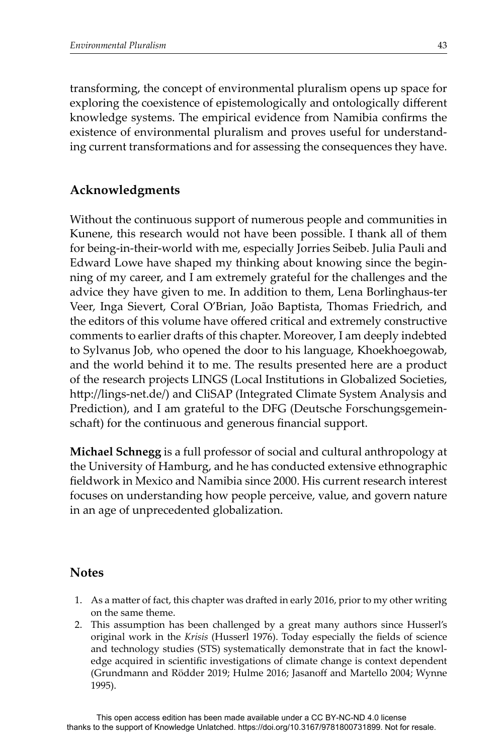transforming, the concept of environmental pluralism opens up space for exploring the coexistence of epistemologically and ontologically different knowledge systems. The empirical evidence from Namibia confirms the existence of environmental pluralism and proves useful for understanding current transformations and for assessing the consequences they have.

## **Acknowledgments**

Without the continuous support of numerous people and communities in Kunene, this research would not have been possible. I thank all of them for being-in-their-world with me, especially Jorries Seibeb. Julia Pauli and Edward Lowe have shaped my thinking about knowing since the beginning of my career, and I am extremely grateful for the challenges and the advice they have given to me. In addition to them, Lena Borlinghaus-ter Veer, Inga Sievert, Coral O'Brian, João Baptista, Thomas Friedrich, and the editors of this volume have offered critical and extremely constructive comments to earlier drafts of this chapter. Moreover, I am deeply indebted to Sylvanus Job, who opened the door to his language, Khoekhoegowab, and the world behind it to me. The results presented here are a product of the research projects LINGS (Local Institutions in Globalized Societies, http://lings-net.de/) and CliSAP (Integrated Climate System Analysis and Prediction), and I am grateful to the DFG (Deutsche Forschungsgemeinschaft) for the continuous and generous financial support.

**Michael Schnegg** is a full professor of social and cultural anthropology at the University of Hamburg, and he has conducted extensive ethnographic fi eldwork in Mexico and Namibia since 2000. His current research interest focuses on understanding how people perceive, value, and govern nature in an age of unprecedented globalization.

## **Notes**

- 1. As a matter of fact, this chapter was drafted in early 2016, prior to my other writing on the same theme.
- 2. This assumption has been challenged by a great many authors since Husserl's original work in the *Krisis* (Husserl 1976). Today especially the fields of science and technology studies (STS) systematically demonstrate that in fact the knowledge acquired in scientific investigations of climate change is context dependent (Grundmann and Rödder 2019; Hulme 2016; Jasanoff and Martello 2004; Wynne 1995).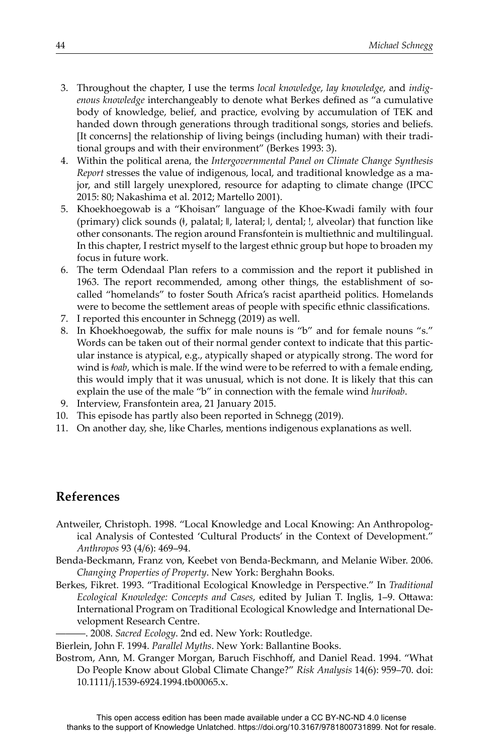- 3. Throughout the chapter, I use the terms *local knowledge*, *lay knowledge*, and *indigenous knowledge* interchangeably to denote what Berkes defined as "a cumulative body of knowledge, belief, and practice, evolving by accumulation of TEK and handed down through generations through traditional songs, stories and beliefs. [It concerns] the relationship of living beings (including human) with their traditional groups and with their environment" (Berkes 1993: 3).
- 4. Within the political arena, the *Intergovernmental Panel on Climate Change Synthesis Report* stresses the value of indigenous, local, and traditional knowledge as a major, and still largely unexplored, resource for adapting to climate change (IPCC 2015: 80; Nakashima et al. 2012; Martello 2001).
- 5. Khoekhoegowab is a "Khoisan" language of the Khoe-Kwadi family with four (primary) click sounds (ǂ, palatal; ǁ, lateral; ǀ, dental; !, alveolar) that function like other consonants. The region around Fransfontein is multiethnic and multilingual. In this chapter, I restrict myself to the largest ethnic group but hope to broaden my focus in future work.
- 6. The term Odendaal Plan refers to a commission and the report it published in 1963. The report recommended, among other things, the establishment of socalled "homelands" to foster South Africa's racist apartheid politics. Homelands were to become the settlement areas of people with specific ethnic classifications.
- 7. I reported this encounter in Schnegg (2019) as well.
- 8. In Khoekhoegowab, the suffix for male nouns is "b" and for female nouns "s." Words can be taken out of their normal gender context to indicate that this particular instance is atypical, e.g., atypically shaped or atypically strong. The word for wind is *ǂoab*, which is male. If the wind were to be referred to with a female ending, this would imply that it was unusual, which is not done. It is likely that this can explain the use of the male "b" in connection with the female wind *huriǂoab*.
- 9. Interview, Fransfontein area, 21 January 2015.
- 10. This episode has partly also been reported in Schnegg (2019).
- 11. On another day, she, like Charles, mentions indigenous explanations as well.

## **References**

- Antweiler, Christoph. 1998. "Local Knowledge and Local Knowing: An Anthropological Analysis of Contested 'Cultural Products' in the Context of Development." *Anthropos* 93 (4/6): 469–94.
- Benda-Beckmann, Franz von, Keebet von Benda-Beckmann, and Melanie Wiber. 2006. *Changing Properties of Property*. New York: Berghahn Books.
- Berkes, Fikret. 1993. "Traditional Ecological Knowledge in Perspective." In *Traditional Ecological Knowledge: Concepts and Cases, edited by Julian T. Inglis, 1–9. Ottawa:* International Program on Traditional Ecological Knowledge and International Development Research Centre.
	- ———. 2008. *Sacred Ecology*. 2nd ed. New York: Routledge.

Bierlein, John F. 1994. *Parallel Myths*. New York: Ballantine Books.

Bostrom, Ann, M. Granger Morgan, Baruch Fischhoff, and Daniel Read. 1994. "What Do People Know about Global Climate Change?" *Risk Analysis* 14(6): 959–70. doi: 10.1111/j.1539-6924.1994.tb00065.x.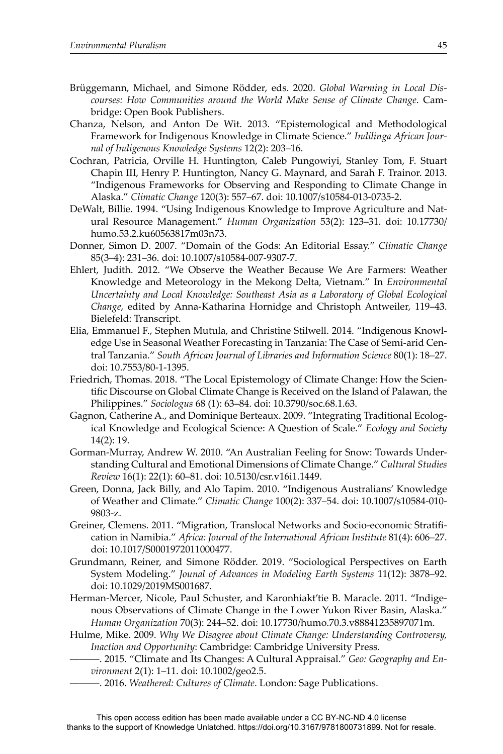- Brüggemann, Michael, and Simone Rödder, eds. 2020. *Global Warming in Local Discourses: How Communities around the World Make Sense of Climate Change*. Cambridge: Open Book Publishers.
- Chanza, Nelson, and Anton De Wit. 2013. "Epistemological and Methodological Framework for Indigenous Knowledge in Climate Science." *Indilinga African Journal of Indigenous Knowledge Systems* 12(2): 203–16.
- Cochran, Patricia, Orville H. Huntington, Caleb Pungowiyi, Stanley Tom, F. Stuart Chapin III, Henry P. Huntington, Nancy G. Maynard, and Sarah F. Trainor. 2013. "Indigenous Frameworks for Observing and Responding to Climate Change in Alaska." *Climatic Change* 120(3): 557–67. doi: 10.1007/s10584-013-0735-2.
- DeWalt, Billie. 1994. "Using Indigenous Knowledge to Improve Agriculture and Natural Resource Management." *Human Organization* 53(2): 123–31. doi: 10.17730/ humo.53.2.ku60563817m03n73.
- Donner, Simon D. 2007. "Domain of the Gods: An Editorial Essay." *Climatic Change* 85(3–4): 231–36. doi: 10.1007/s10584-007-9307-7.
- Ehlert, Judith. 2012. "We Observe the Weather Because We Are Farmers: Weather Knowledge and Meteorology in the Mekong Delta, Vietnam." In *Environmental Uncertainty and Local Knowledge: Southeast Asia as a Laboratory of Global Ecological Change*, edited by Anna-Katharina Hornidge and Christoph Antweiler, 119–43. Bielefeld: Transcript.
- Elia, Emmanuel F., Stephen Mutula, and Christine Stilwell. 2014. "Indigenous Knowledge Use in Seasonal Weather Forecasting in Tanzania: The Case of Semi-arid Central Tanzania." *South African Journal of Libraries and Information Science* 80(1): 18–27. doi: 10.7553/80-1-1395.
- Friedrich, Thomas. 2018. "The Local Epistemology of Climate Change: How the Scientific Discourse on Global Climate Change is Received on the Island of Palawan, the Philippines." *Sociologus* 68 (1): 63–84. doi: 10.3790/soc.68.1.63.
- Gagnon, Catherine A., and Dominique Berteaux. 2009. "Integrating Traditional Ecological Knowledge and Ecological Science: A Question of Scale." *Ecology and Society* 14(2): 19.
- Gorman-Murray, Andrew W. 2010. "An Australian Feeling for Snow: Towards Understanding Cultural and Emotional Dimensions of Climate Change." *Cultural Studies Review* 16(1): 22(1): 60–81. doi: 10.5130/csr.v16i1.1449.
- Green, Donna, Jack Billy, and Alo Tapim. 2010. "Indigenous Australians' Knowledge of Weather and Climate." *Climatic Change* 100(2): 337–54. doi: 10.1007/s10584-010- 9803-z.
- Greiner, Clemens. 2011. "Migration, Translocal Networks and Socio-economic Stratifi cation in Namibia." *Africa: Journal of the International African Institute* 81(4): 606–27. doi: 10.1017/S0001972011000477.
- Grundmann, Reiner, and Simone Rödder. 2019. "Sociological Perspectives on Earth System Modeling." *Jounal of Advances in Modeling Earth Systems* 11(12): 3878–92. doi: 10.1029/2019MS001687.
- Herman-Mercer, Nicole, Paul Schuster, and Karonhiakt'tie B. Maracle. 2011. "Indigenous Observations of Climate Change in the Lower Yukon River Basin, Alaska." *Human Organization* 70(3): 244–52. doi: 10.17730/humo.70.3.v88841235897071m.
- Hulme, Mike. 2009. *Why We Disagree about Climate Change: Understanding Controversy, Inaction and Opportunity*: Cambridge: Cambridge University Press.
	- ———. 2015. "Climate and Its Changes: A Cultural Appraisal." *Geo: Geography and Environment* 2(1): 1–11. doi: 10.1002/geo2.5.
	- ———. 2016. *Weathered: Cultures of Climate*. London: Sage Publications.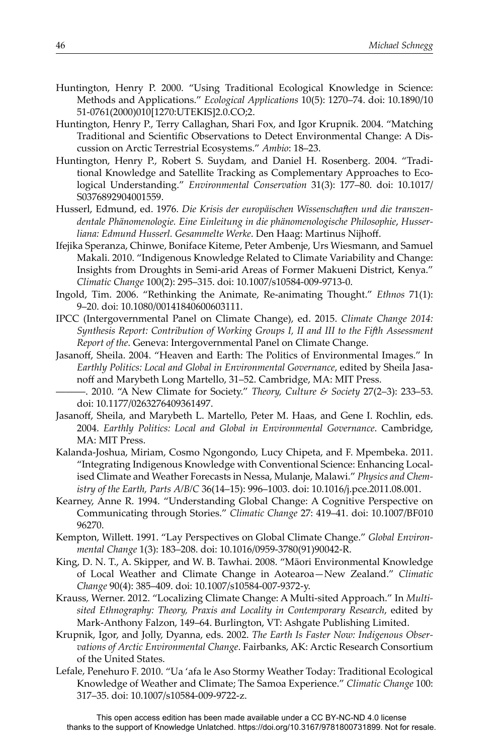- Huntington, Henry P. 2000. "Using Traditional Ecological Knowledge in Science: Methods and Applications." *Ecological Applications* 10(5): 1270–74. doi: 10.1890/10 51-0761(2000)010[1270:UTEKIS]2.0.CO;2.
- Huntington, Henry P., Terry Callaghan, Shari Fox, and Igor Krupnik. 2004. "Matching Traditional and Scientific Observations to Detect Environmental Change: A Discussion on Arctic Terrestrial Ecosystems." *Ambio*: 18–23.
- Huntington, Henry P., Robert S. Suydam, and Daniel H. Rosenberg. 2004. "Traditional Knowledge and Satellite Tracking as Complementary Approaches to Ecological Understanding." *Environmental Conservation* 31(3): 177–80. doi: 10.1017/ S0376892904001559.
- Husserl, Edmund, ed. 1976. *Die Krisis der europäisĖ en WissensĖ aĞ en und die transzendentale Phänomenologie. Eine Einleitung in die phänomenologisĖ e Philosophie*, *Husser*liana: Edmund Husserl. Gesammelte Werke. Den Haag: Martinus Nijhoff.
- Ifejika Speranza, Chinwe, Boniface Kiteme, Peter Ambenje, Urs Wiesmann, and Samuel Makali. 2010. "Indigenous Knowledge Related to Climate Variability and Change: Insights from Droughts in Semi-arid Areas of Former Makueni District, Kenya." *Climatic Change* 100(2): 295–315. doi: 10.1007/s10584-009-9713-0.
- Ingold, Tim. 2006. "Rethinking the Animate, Re-animating Thought." *Ethnos* 71(1): 9–20. doi: 10.1080/00141840600603111.
- IPCC (Intergovernmental Panel on Climate Change), ed. 2015. *Climate Change 2014: Synthesis Report: Contribution of Working Groups I, II and III to the FiĞ h Assessment Report of the*. Geneva: Intergovernmental Panel on Climate Change.
- Jasanoff, Sheila. 2004. "Heaven and Earth: The Politics of Environmental Images." In *Earthly Politics: Local and Global in Environmental Governance*, edited by Sheila Jasanoff and Marybeth Long Martello, 31–52. Cambridge, MA: MIT Press.
	- ———. 2010. "A New Climate for Society." *Theory, Culture & Society* 27(2–3): 233–53. doi: 10.1177/0263276409361497.
- Jasanoff, Sheila, and Marybeth L. Martello, Peter M. Haas, and Gene I. Rochlin, eds. 2004. *Earthly Politics: Local and Global in Environmental Governance*. Cambridge, MA: MIT Press.
- Kalanda-Joshua, Miriam, Cosmo Ngongondo, Lucy Chipeta, and F. Mpembeka. 2011. "Integrating Indigenous Knowledge with Conventional Science: Enhancing Localised Climate and Weather Forecasts in Nessa, Mulanje, Malawi." *Physics and Chemistry of the Earth, Parts A/B/C* 36(14–15): 996–1003. doi: 10.1016/j.pce.2011.08.001.
- Kearney, Anne R. 1994. "Understanding Global Change: A Cognitive Perspective on Communicating through Stories." *Climatic Change* 27: 419–41. doi: 10.1007/BF010 96270.
- Kempton, Willett. 1991. "Lay Perspectives on Global Climate Change." *Global Environmental Change* 1(3): 183–208. doi: 10.1016/0959-3780(91)90042-R.
- King, D. N. T., A. Skipper, and W. B. Tawhai. 2008. "Māori Environmental Knowledge of Local Weather and Climate Change in Aotearoa—New Zealand." *Climatic Change* 90(4): 385–409. doi: 10.1007/s10584-007-9372-y.
- Krauss, Werner. 2012. "Localizing Climate Change: A Multi-sited Approach." In *Multisited Ethnography: Theory, Praxis and Locality in Contemporary Research*, edited by Mark-Anthony Falzon, 149–64. Burlington, VT: Ashgate Publishing Limited.
- Krupnik, Igor, and Jolly, Dyanna, eds. 2002. *The Earth Is Faster Now: Indigenous Observations of Arctic Environmental Change*. Fairbanks, AK: Arctic Research Consortium of the United States.
- Lefale, Penehuro F. 2010. "Ua 'afa le Aso Stormy Weather Today: Traditional Ecological Knowledge of Weather and Climate; The Samoa Experience." *Climatic Change* 100: 317–35. doi: 10.1007/s10584-009-9722-z.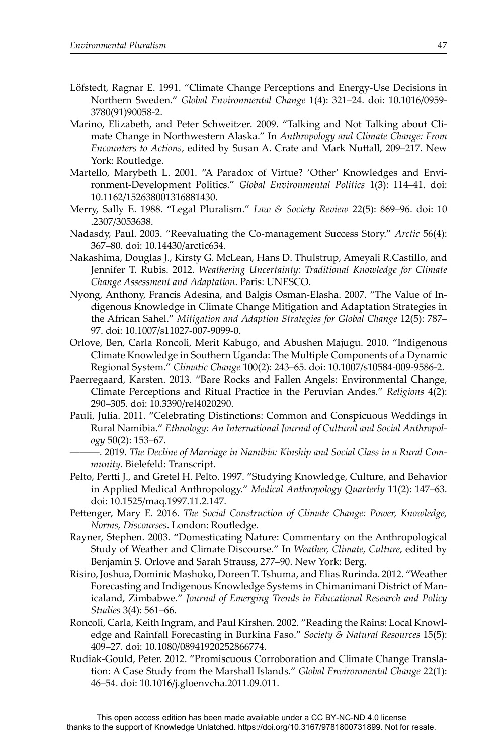- Löfstedt, Ragnar E. 1991. "Climate Change Perceptions and Energy-Use Decisions in Northern Sweden." *Global Environmental Change* 1(4): 321–24. doi: 10.1016/0959- 3780(91)90058-2.
- Marino, Elizabeth, and Peter Schweitzer. 2009. "Talking and Not Talking about Climate Change in Northwestern Alaska." In *Anthropology and Climate Change: From Encounters to Actions, edited by Susan A. Crate and Mark Nuttall, 209-217. New* York: Routledge.
- Martello, Marybeth L. 2001. "A Paradox of Virtue? 'Other' Knowledges and Environment-Development Politics." *Global Environmental Politics* 1(3): 114–41. doi: 10.1162/152638001316881430.
- Merry, Sally E. 1988. "Legal Pluralism." *Law & Society Review* 22(5): 869–96. doi: 10 .2307/3053638.
- Nadasdy, Paul. 2003. "Reevaluating the Co-management Success Story." *Arctic* 56(4): 367–80. doi: 10.14430/arctic634.
- Nakashima, Douglas J., Kirsty G. McLean, Hans D. Thulstrup, Ameyali R.Castillo, and Jennifer T. Rubis. 2012. *Weathering Uncertainty: Traditional Knowledge for Climate Change Assessment and Adaptation*. Paris: UNESCO.
- Nyong, Anthony, Francis Adesina, and Balgis Osman-Elasha. 2007. "The Value of Indigenous Knowledge in Climate Change Mitigation and Adaptation Strategies in the African Sahel." *Mitigation and Adaption Strategies for Global Change* 12(5): 787– 97. doi: 10.1007/s11027-007-9099-0.
- Orlove, Ben, Carla Roncoli, Merit Kabugo, and Abushen Majugu. 2010. "Indigenous Climate Knowledge in Southern Uganda: The Multiple Components of a Dynamic Regional System." *Climatic Change* 100(2): 243–65. doi: 10.1007/s10584-009-9586-2.
- Paerregaard, Karsten. 2013. "Bare Rocks and Fallen Angels: Environmental Change, Climate Perceptions and Ritual Practice in the Peruvian Andes." *Religions* 4(2): 290–305. doi: 10.3390/rel4020290.
- Pauli, Julia. 2011. "Celebrating Distinctions: Common and Conspicuous Weddings in Rural Namibia." *Ethnology: An International Journal of Cultural and Social Anthropology* 50(2): 153–67.

———. 2019. *The Decline of Marriage in Namibia: Kinship and Social Class in a Rural Community*. Bielefeld: Transcript.

- Pelto, Pertti J., and Gretel H. Pelto. 1997. "Studying Knowledge, Culture, and Behavior in Applied Medical Anthropology." *Medical Anthropology Quarterly* 11(2): 147–63. doi: 10.1525/maq.1997.11.2.147.
- Pettenger, Mary E. 2016. *The Social Construction of Climate Change: Power, Knowledge, Norms, Discourses*. London: Routledge.
- Rayner, Stephen. 2003. "Domesticating Nature: Commentary on the Anthropological Study of Weather and Climate Discourse." In *Weather, Climate, Culture*, edited by Benjamin S. Orlove and Sarah Strauss, 277–90. New York: Berg.
- Risiro, Joshua, Dominic Mashoko, Doreen T. Tshuma, and Elias Rurinda. 2012. "Weather Forecasting and Indigenous Knowledge Systems in Chimanimani District of Manicaland, Zimbabwe." *Journal of Emerging Trends in Educational Research and Policy Studies* 3(4): 561–66.
- Roncoli, Carla, Keith Ingram, and Paul Kirshen. 2002. "Reading the Rains: Local Knowledge and Rainfall Forecasting in Burkina Faso." *Society & Natural Resources* 15(5): 409–27. doi: 10.1080/08941920252866774.
- Rudiak-Gould, Peter. 2012. "Promiscuous Corroboration and Climate Change Translation: A Case Study from the Marshall Islands." *Global Environmental Change* 22(1): 46–54. doi: 10.1016/j.gloenvcha.2011.09.011.